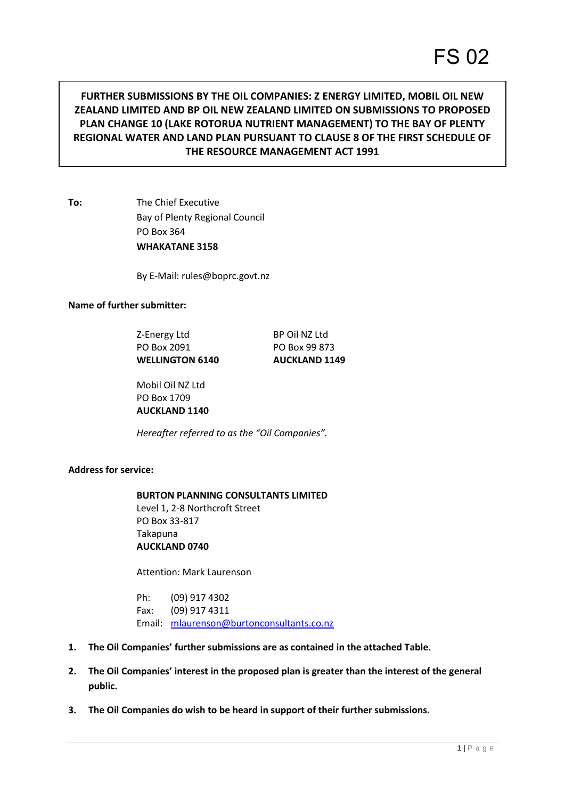# **FURTHER SUBMISSIONS BY THE OIL COMPANIES: Z ENERGY LIMITED, MOBIL OIL NEW ZEALAND LIMITED AND BP OIL NEW ZEALAND LIMITED ON SUBMISSIONS TO PROPOSED PLAN CHANGE 10 (LAKE ROTORUA NUTRIENT MANAGEMENT) TO THE BAY OF PLENTY REGIONAL WATER AND LAND PLAN PURSUANT TO CLAUSE 8 OF THE FIRST SCHEDULE OF THE RESOURCE MANAGEMENT ACT 1991**

**To:** The Chief Executive Bay of Plenty Regional Council PO Box 364 **WHAKATANE 3158** 

By E-Mail: rules@boprc.govt.nz

### **Name of further submitter:**

Z-Energy Ltd BP Oil NZ Ltd PO Box 2091 PO Box 99 873 WELLINGTON 6140 **AUCKLAND 1149** 

 Mobil Oil NZ Ltd PO Box 1709 **AUCKLAND 1140**

*Hereafter referred to as the "Oil Companies".*

### **Address for service:**

### **BURTON PLANNING CONSULTANTS LIMITED** Level 1, 2-8 Northcroft Street PO Box 33-817 Takapuna **AUCKLAND 0740**

Attention: Mark Laurenson

 Ph: (09) 917 4302 Fax: (09) 917 4311 Email: [mlaurenson@burtonconsultants.co.nz](mailto:jmccall@burtonconsultants.co.nz) 

- **1. The Oil Companies' further submissions are as contained in the attached Table.**
- **2. The Oil Companies' interest in the proposed plan is greater than the interest of the general public.**
- **3. The Oil Companies do wish to be heard in support of their further submissions.**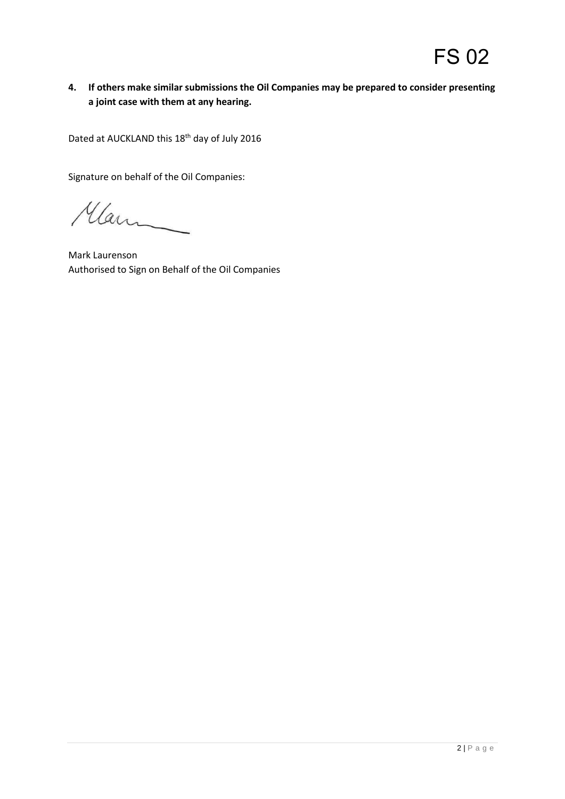# **4. If others make similar submissions the Oil Companies may be prepared to consider presenting a joint case with them at any hearing.**

Dated at AUCKLAND this 18<sup>th</sup> day of July 2016

Signature on behalf of the Oil Companies:

Man

Mark Laurenson Authorised to Sign on Behalf of the Oil Companies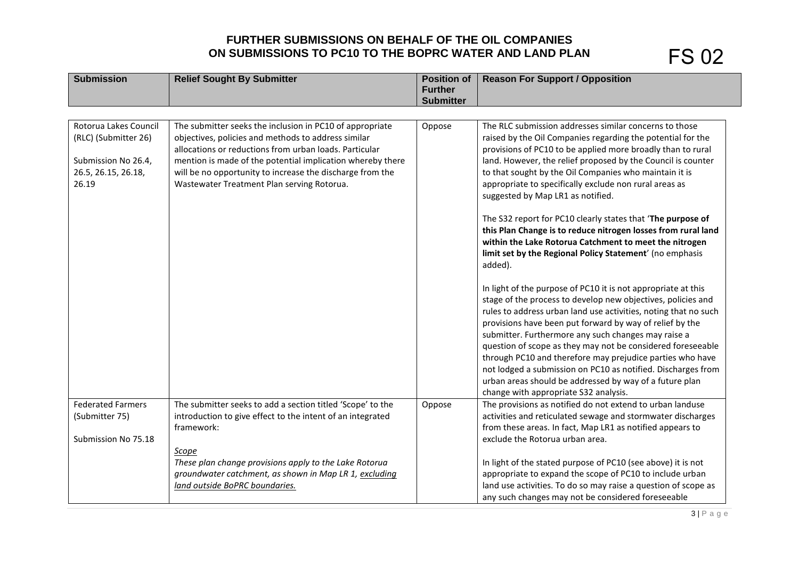# **FURTHER SUBMISSIONS ON BEHALF OF THE OIL COMPANIES ON SUBMISSIONS TO PC10 TO THE BOPRC WATER AND LAND PLAN**

| <b>Submission</b>            | <b>Relief Sought By Submitter</b>                                                                       | <b>Position of</b>                 | <b>Reason For Support / Opposition</b>                                                                                   |
|------------------------------|---------------------------------------------------------------------------------------------------------|------------------------------------|--------------------------------------------------------------------------------------------------------------------------|
|                              |                                                                                                         | <b>Further</b><br><b>Submitter</b> |                                                                                                                          |
|                              |                                                                                                         |                                    |                                                                                                                          |
| Rotorua Lakes Council        | The submitter seeks the inclusion in PC10 of appropriate                                                | Oppose                             | The RLC submission addresses similar concerns to those                                                                   |
| (RLC) (Submitter 26)         | objectives, policies and methods to address similar                                                     |                                    | raised by the Oil Companies regarding the potential for the                                                              |
|                              | allocations or reductions from urban loads. Particular                                                  |                                    | provisions of PC10 to be applied more broadly than to rural                                                              |
| Submission No 26.4,          | mention is made of the potential implication whereby there                                              |                                    | land. However, the relief proposed by the Council is counter                                                             |
| 26.5, 26.15, 26.18,<br>26.19 | will be no opportunity to increase the discharge from the<br>Wastewater Treatment Plan serving Rotorua. |                                    | to that sought by the Oil Companies who maintain it is<br>appropriate to specifically exclude non rural areas as         |
|                              |                                                                                                         |                                    | suggested by Map LR1 as notified.                                                                                        |
|                              |                                                                                                         |                                    |                                                                                                                          |
|                              |                                                                                                         |                                    | The S32 report for PC10 clearly states that 'The purpose of                                                              |
|                              |                                                                                                         |                                    | this Plan Change is to reduce nitrogen losses from rural land                                                            |
|                              |                                                                                                         |                                    | within the Lake Rotorua Catchment to meet the nitrogen                                                                   |
|                              |                                                                                                         |                                    | limit set by the Regional Policy Statement' (no emphasis<br>added).                                                      |
|                              |                                                                                                         |                                    |                                                                                                                          |
|                              |                                                                                                         |                                    | In light of the purpose of PC10 it is not appropriate at this                                                            |
|                              |                                                                                                         |                                    | stage of the process to develop new objectives, policies and                                                             |
|                              |                                                                                                         |                                    | rules to address urban land use activities, noting that no such                                                          |
|                              |                                                                                                         |                                    | provisions have been put forward by way of relief by the                                                                 |
|                              |                                                                                                         |                                    | submitter. Furthermore any such changes may raise a                                                                      |
|                              |                                                                                                         |                                    | question of scope as they may not be considered foreseeable<br>through PC10 and therefore may prejudice parties who have |
|                              |                                                                                                         |                                    | not lodged a submission on PC10 as notified. Discharges from                                                             |
|                              |                                                                                                         |                                    | urban areas should be addressed by way of a future plan                                                                  |
|                              |                                                                                                         |                                    | change with appropriate S32 analysis.                                                                                    |
| <b>Federated Farmers</b>     | The submitter seeks to add a section titled 'Scope' to the                                              | Oppose                             | The provisions as notified do not extend to urban landuse                                                                |
| (Submitter 75)               | introduction to give effect to the intent of an integrated                                              |                                    | activities and reticulated sewage and stormwater discharges                                                              |
|                              | framework:                                                                                              |                                    | from these areas. In fact, Map LR1 as notified appears to                                                                |
| Submission No 75.18          |                                                                                                         |                                    | exclude the Rotorua urban area.                                                                                          |
|                              | Scope<br>These plan change provisions apply to the Lake Rotorua                                         |                                    | In light of the stated purpose of PC10 (see above) it is not                                                             |
|                              | groundwater catchment, as shown in Map LR 1, excluding                                                  |                                    | appropriate to expand the scope of PC10 to include urban                                                                 |
|                              | land outside BoPRC boundaries.                                                                          |                                    | land use activities. To do so may raise a question of scope as                                                           |
|                              |                                                                                                         |                                    | any such changes may not be considered foreseeable                                                                       |